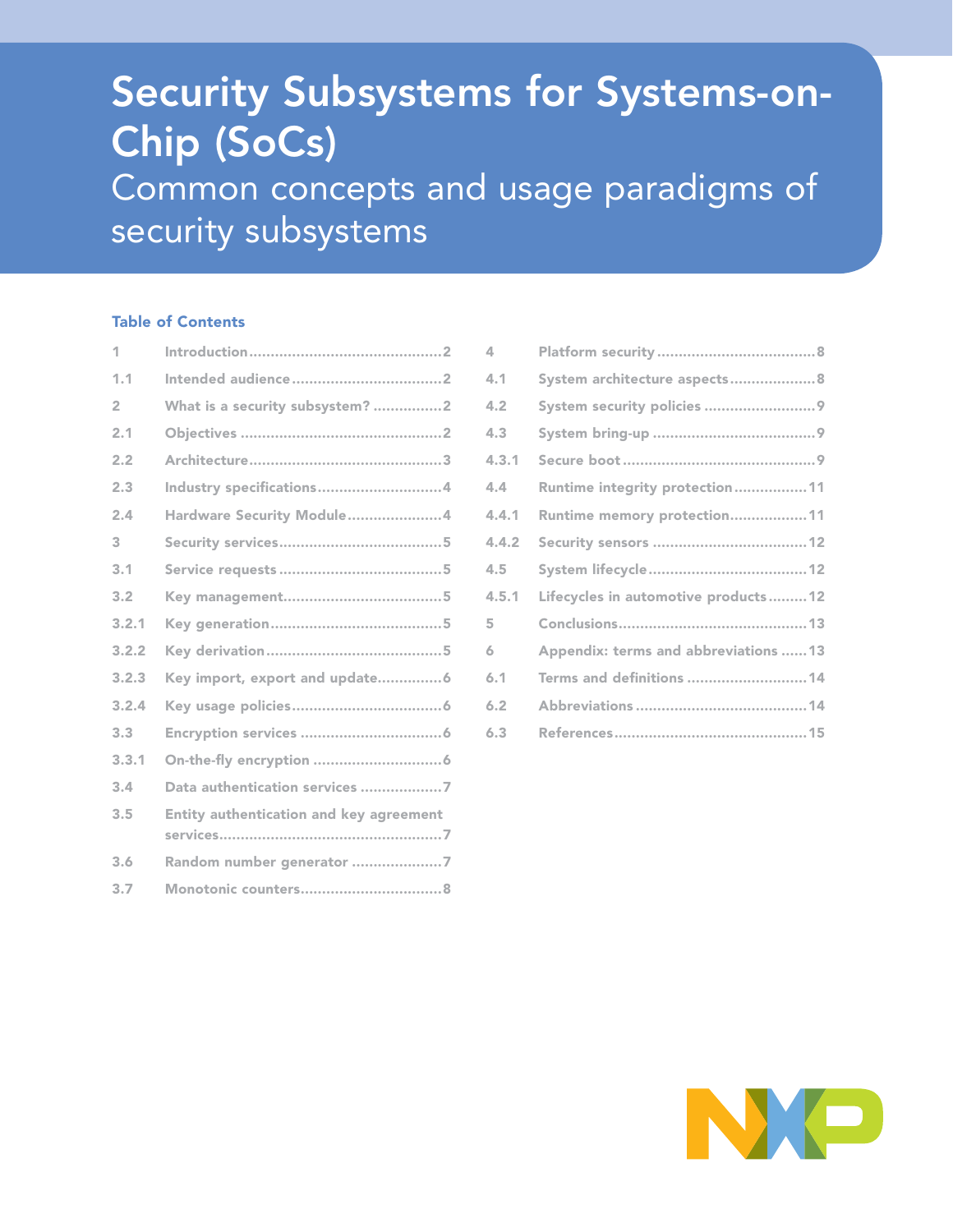# Security Subsystems for Systems-on-Chip (SoCs) Common concepts and usage paradigms of security subsystems

## Table of Contents

| 1              |                                         |
|----------------|-----------------------------------------|
| 1.1            |                                         |
| $\overline{2}$ | What is a security subsystem? 2         |
| 2.1            |                                         |
| 2.2            |                                         |
| 2.3            | Industry specifications4                |
| 2.4            | Hardware Security Module4               |
| 3              |                                         |
| 3.1            |                                         |
| 3.2            |                                         |
| 3.2.1          |                                         |
| 3.2.2          |                                         |
| 3.2.3          | Key import, export and update6          |
| 3.2.4          |                                         |
| 3.3            |                                         |
| 3.3.1          |                                         |
| 3.4            | Data authentication services 7          |
| 3.5            | Entity authentication and key agreement |
| 3.6            | Random number generator 7               |
| 3.7            |                                         |

| 4     |                                       |
|-------|---------------------------------------|
| 4.1   | System architecture aspects8          |
| 4.2   | System security policies 9            |
| 4.3   |                                       |
| 4.3.1 |                                       |
| 4.4   | Runtime integrity protection11        |
| 4.4.1 | Runtime memory protection11           |
| 4.4.2 |                                       |
| 4.5   |                                       |
| 4.5.1 | Lifecycles in automotive products12   |
| 5     |                                       |
| 6     | Appendix: terms and abbreviations  13 |
| 6.1   | Terms and definitions 14              |
| 6.2   |                                       |
| 6.3   |                                       |
|       |                                       |

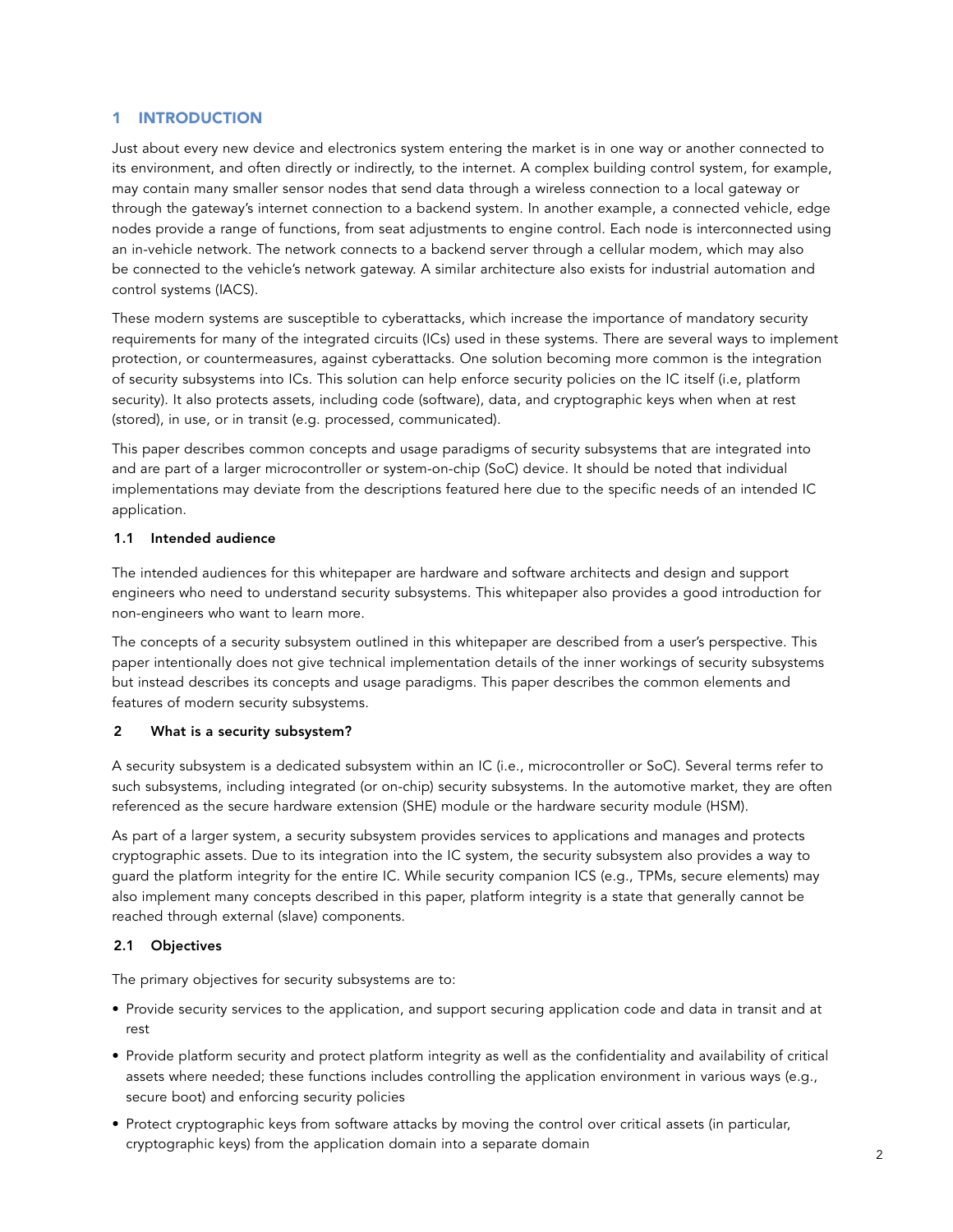## 1 INTRODUCTION

Just about every new device and electronics system entering the market is in one way or another connected to its environment, and often directly or indirectly, to the internet. A complex building control system, for example, may contain many smaller sensor nodes that send data through a wireless connection to a local gateway or through the gateway's internet connection to a backend system. In another example, a connected vehicle, edge nodes provide a range of functions, from seat adjustments to engine control. Each node is interconnected using an in-vehicle network. The network connects to a backend server through a cellular modem, which may also be connected to the vehicle's network gateway. A similar architecture also exists for industrial automation and control systems (IACS).

These modern systems are susceptible to cyberattacks, which increase the importance of mandatory security requirements for many of the integrated circuits (ICs) used in these systems. There are several ways to implement protection, or countermeasures, against cyberattacks. One solution becoming more common is the integration of security subsystems into ICs. This solution can help enforce security policies on the IC itself (i.e, platform security). It also protects assets, including code (software), data, and cryptographic keys when when at rest (stored), in use, or in transit (e.g. processed, communicated).

This paper describes common concepts and usage paradigms of security subsystems that are integrated into and are part of a larger microcontroller or system-on-chip (SoC) device. It should be noted that individual implementations may deviate from the descriptions featured here due to the specific needs of an intended IC application.

## 1.1 Intended audience

The intended audiences for this whitepaper are hardware and software architects and design and support engineers who need to understand security subsystems. This whitepaper also provides a good introduction for non-engineers who want to learn more.

The concepts of a security subsystem outlined in this whitepaper are described from a user's perspective. This paper intentionally does not give technical implementation details of the inner workings of security subsystems but instead describes its concepts and usage paradigms. This paper describes the common elements and features of modern security subsystems.

## 2 What is a security subsystem?

A security subsystem is a dedicated subsystem within an IC (i.e., microcontroller or SoC). Several terms refer to such subsystems, including integrated (or on-chip) security subsystems. In the automotive market, they are often referenced as the secure hardware extension (SHE) module or the hardware security module (HSM).

As part of a larger system, a security subsystem provides services to applications and manages and protects cryptographic assets. Due to its integration into the IC system, the security subsystem also provides a way to guard the platform integrity for the entire IC. While security companion ICS (e.g., TPMs, secure elements) may also implement many concepts described in this paper, platform integrity is a state that generally cannot be reached through external (slave) components.

## 2.1 Objectives

The primary objectives for security subsystems are to:

- Provide security services to the application, and support securing application code and data in transit and at rest
- Provide platform security and protect platform integrity as well as the confidentiality and availability of critical assets where needed; these functions includes controlling the application environment in various ways (e.g., secure boot) and enforcing security policies
- Protect cryptographic keys from software attacks by moving the control over critical assets (in particular, cryptographic keys) from the application domain into a separate domain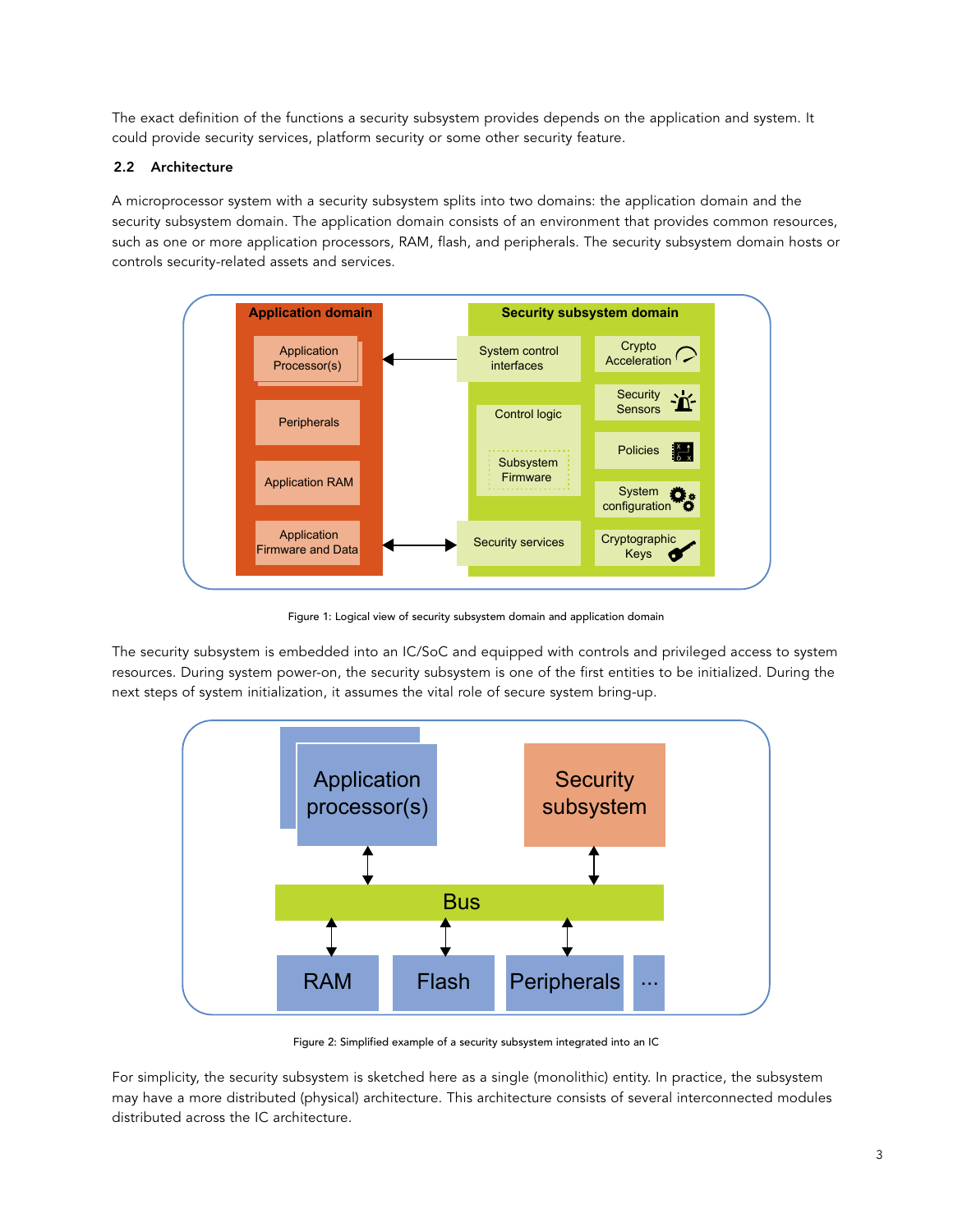The exact definition of the functions a security subsystem provides depends on the application and system. It could provide security services, platform security or some other security feature.

## 2.2 Architecture

A microprocessor system with a security subsystem splits into two domains: the application domain and the security subsystem domain. The application domain consists of an environment that provides common resources, such as one or more application processors, RAM, flash, and peripherals. The security subsystem domain hosts or controls security-related assets and services.



Figure 1: Logical view of security subsystem domain and application domain

The security subsystem is embedded into an IC/SoC and equipped with controls and privileged access to system resources. During system power-on, the security subsystem is one of the first entities to be initialized. During the next steps of system initialization, it assumes the vital role of secure system bring-up.



Figure 2: Simplified example of a security subsystem integrated into an IC

For simplicity, the security subsystem is sketched here as a single (monolithic) entity. In practice, the subsystem may have a more distributed (physical) architecture. This architecture consists of several interconnected modules distributed across the IC architecture.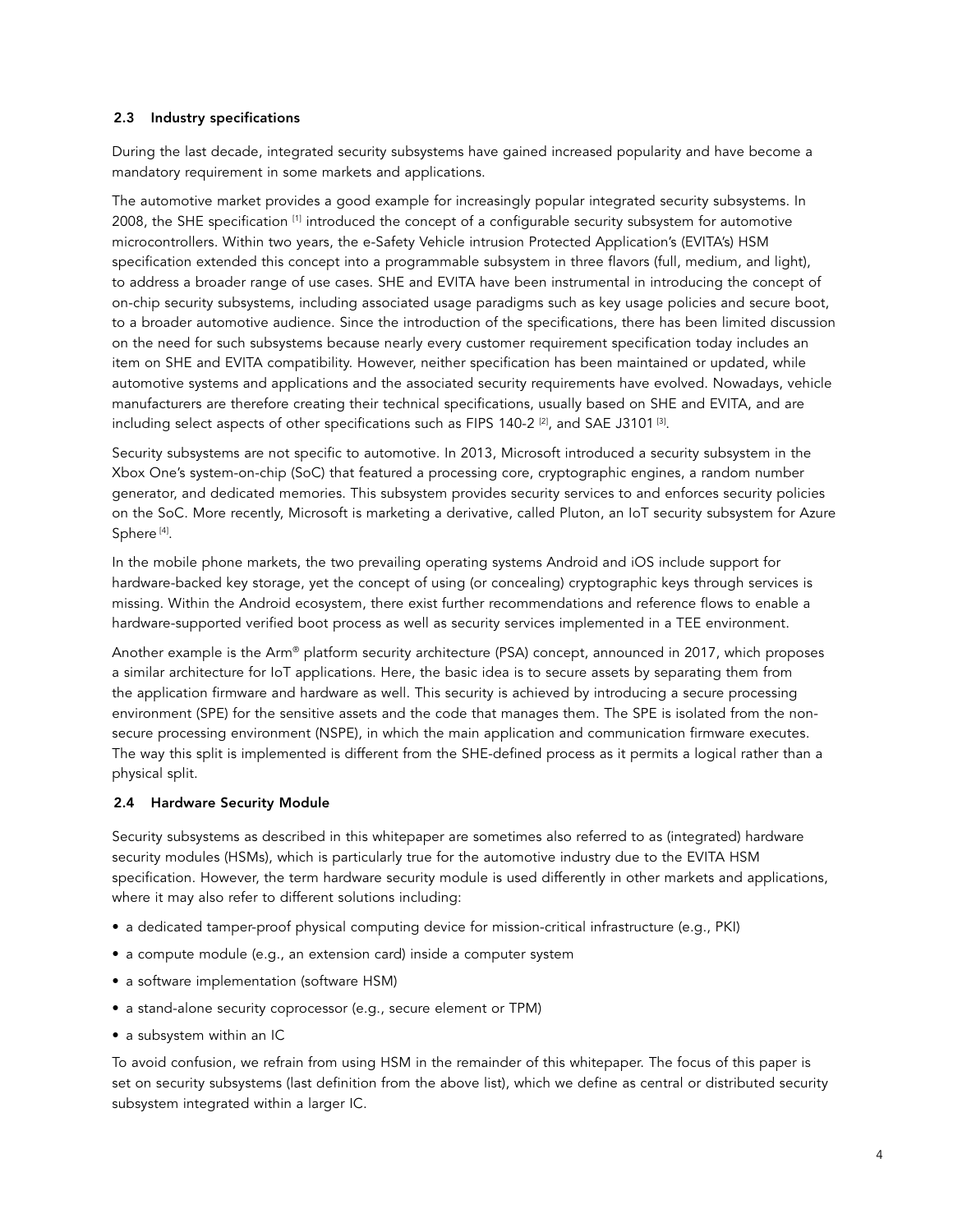## 2.3 Industry specifications

During the last decade, integrated security subsystems have gained increased popularity and have become a mandatory requirement in some markets and applications.

The automotive market provides a good example for increasingly popular integrated security subsystems. In 2008, the SHE specification [1] introduced the concept of a configurable security subsystem for automotive microcontrollers. Within two years, the e-Safety Vehicle intrusion Protected Application's (EVITA's) HSM specification extended this concept into a programmable subsystem in three flavors (full, medium, and light), to address a broader range of use cases. SHE and EVITA have been instrumental in introducing the concept of on-chip security subsystems, including associated usage paradigms such as key usage policies and secure boot, to a broader automotive audience. Since the introduction of the specifications, there has been limited discussion on the need for such subsystems because nearly every customer requirement specification today includes an item on SHE and EVITA compatibility. However, neither specification has been maintained or updated, while automotive systems and applications and the associated security requirements have evolved. Nowadays, vehicle manufacturers are therefore creating their technical specifications, usually based on SHE and EVITA, and are including select aspects of other specifications such as FIPS 140-2  $[2]$ , and SAE J3101 $[3]$ .

Security subsystems are not specific to automotive. In 2013, Microsoft introduced a security subsystem in the Xbox One's system-on-chip (SoC) that featured a processing core, cryptographic engines, a random number generator, and dedicated memories. This subsystem provides security services to and enforces security policies on the SoC. More recently, Microsoft is marketing a derivative, called Pluton, an IoT security subsystem for Azure Sphere<sup>[4]</sup>.

In the mobile phone markets, the two prevailing operating systems Android and iOS include support for hardware-backed key storage, yet the concept of using (or concealing) cryptographic keys through services is missing. Within the Android ecosystem, there exist further recommendations and reference flows to enable a hardware-supported verified boot process as well as security services implemented in a TEE environment.

Another example is the Arm® platform security architecture (PSA) concept, announced in 2017, which proposes a similar architecture for IoT applications. Here, the basic idea is to secure assets by separating them from the application firmware and hardware as well. This security is achieved by introducing a secure processing environment (SPE) for the sensitive assets and the code that manages them. The SPE is isolated from the nonsecure processing environment (NSPE), in which the main application and communication firmware executes. The way this split is implemented is different from the SHE-defined process as it permits a logical rather than a physical split.

## 2.4 Hardware Security Module

Security subsystems as described in this whitepaper are sometimes also referred to as (integrated) hardware security modules (HSMs), which is particularly true for the automotive industry due to the EVITA HSM specification. However, the term hardware security module is used differently in other markets and applications, where it may also refer to different solutions including:

- a dedicated tamper-proof physical computing device for mission-critical infrastructure (e.g., PKI)
- a compute module (e.g., an extension card) inside a computer system
- a software implementation (software HSM)
- a stand-alone security coprocessor (e.g., secure element or TPM)
- a subsystem within an IC

To avoid confusion, we refrain from using HSM in the remainder of this whitepaper. The focus of this paper is set on security subsystems (last definition from the above list), which we define as central or distributed security subsystem integrated within a larger IC.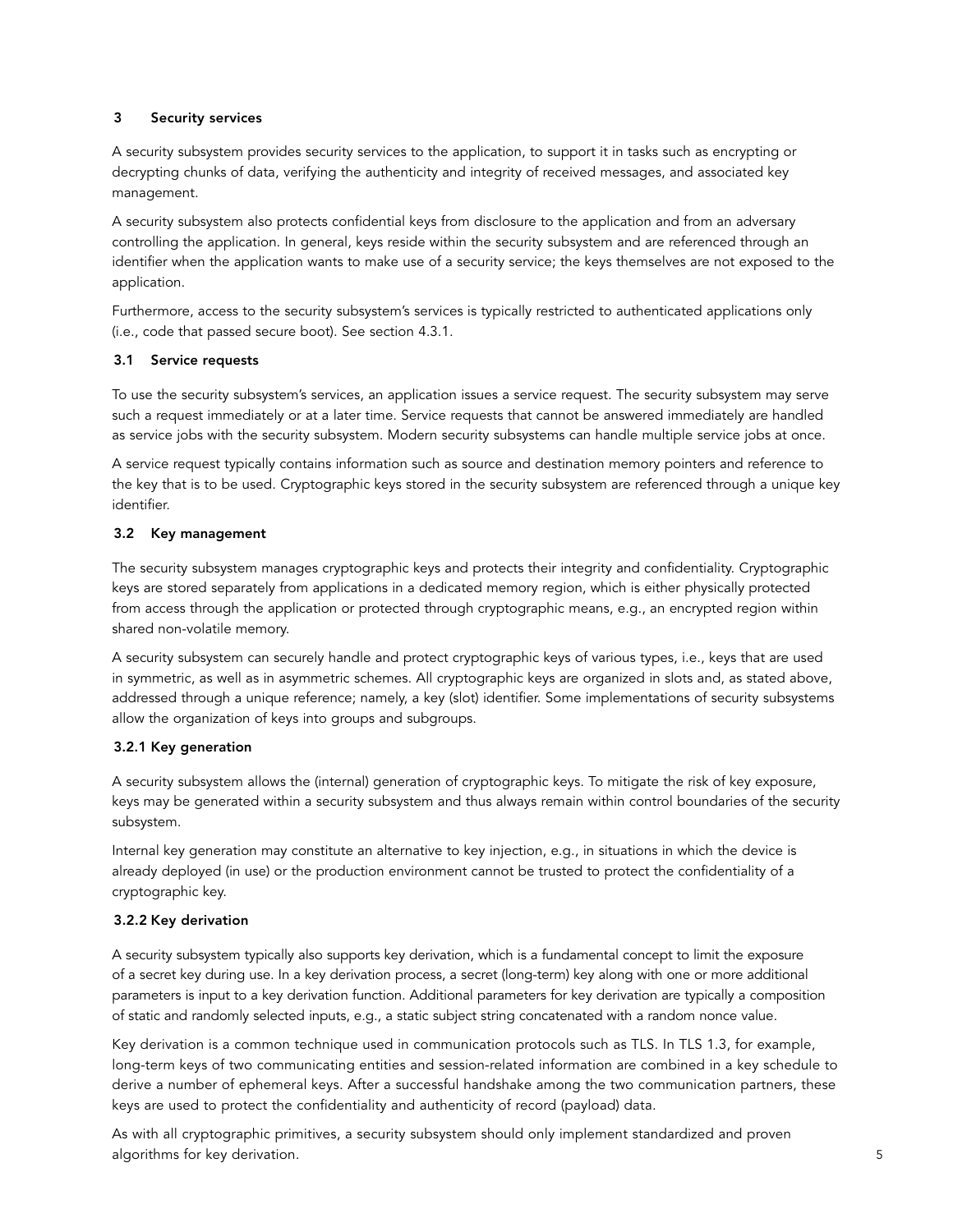## 3 Security services

A security subsystem provides security services to the application, to support it in tasks such as encrypting or decrypting chunks of data, verifying the authenticity and integrity of received messages, and associated key management.

A security subsystem also protects confidential keys from disclosure to the application and from an adversary controlling the application. In general, keys reside within the security subsystem and are referenced through an identifier when the application wants to make use of a security service; the keys themselves are not exposed to the application.

Furthermore, access to the security subsystem's services is typically restricted to authenticated applications only (i.e., code that passed secure boot). See section 4.3.1.

## 3.1 Service requests

To use the security subsystem's services, an application issues a service request. The security subsystem may serve such a request immediately or at a later time. Service requests that cannot be answered immediately are handled as service jobs with the security subsystem. Modern security subsystems can handle multiple service jobs at once.

A service request typically contains information such as source and destination memory pointers and reference to the key that is to be used. Cryptographic keys stored in the security subsystem are referenced through a unique key identifier.

## 3.2 Key management

The security subsystem manages cryptographic keys and protects their integrity and confidentiality. Cryptographic keys are stored separately from applications in a dedicated memory region, which is either physically protected from access through the application or protected through cryptographic means, e.g., an encrypted region within shared non-volatile memory.

A security subsystem can securely handle and protect cryptographic keys of various types, i.e., keys that are used in symmetric, as well as in asymmetric schemes. All cryptographic keys are organized in slots and, as stated above, addressed through a unique reference; namely, a key (slot) identifier. Some implementations of security subsystems allow the organization of keys into groups and subgroups.

## 3.2.1 Key generation

A security subsystem allows the (internal) generation of cryptographic keys. To mitigate the risk of key exposure, keys may be generated within a security subsystem and thus always remain within control boundaries of the security subsystem.

Internal key generation may constitute an alternative to key injection, e.g., in situations in which the device is already deployed (in use) or the production environment cannot be trusted to protect the confidentiality of a cryptographic key.

## 3.2.2 Key derivation

A security subsystem typically also supports key derivation, which is a fundamental concept to limit the exposure of a secret key during use. In a key derivation process, a secret (long-term) key along with one or more additional parameters is input to a key derivation function. Additional parameters for key derivation are typically a composition of static and randomly selected inputs, e.g., a static subject string concatenated with a random nonce value.

Key derivation is a common technique used in communication protocols such as TLS. In TLS 1.3, for example, long-term keys of two communicating entities and session-related information are combined in a key schedule to derive a number of ephemeral keys. After a successful handshake among the two communication partners, these keys are used to protect the confidentiality and authenticity of record (payload) data.

As with all cryptographic primitives, a security subsystem should only implement standardized and proven algorithms for key derivation.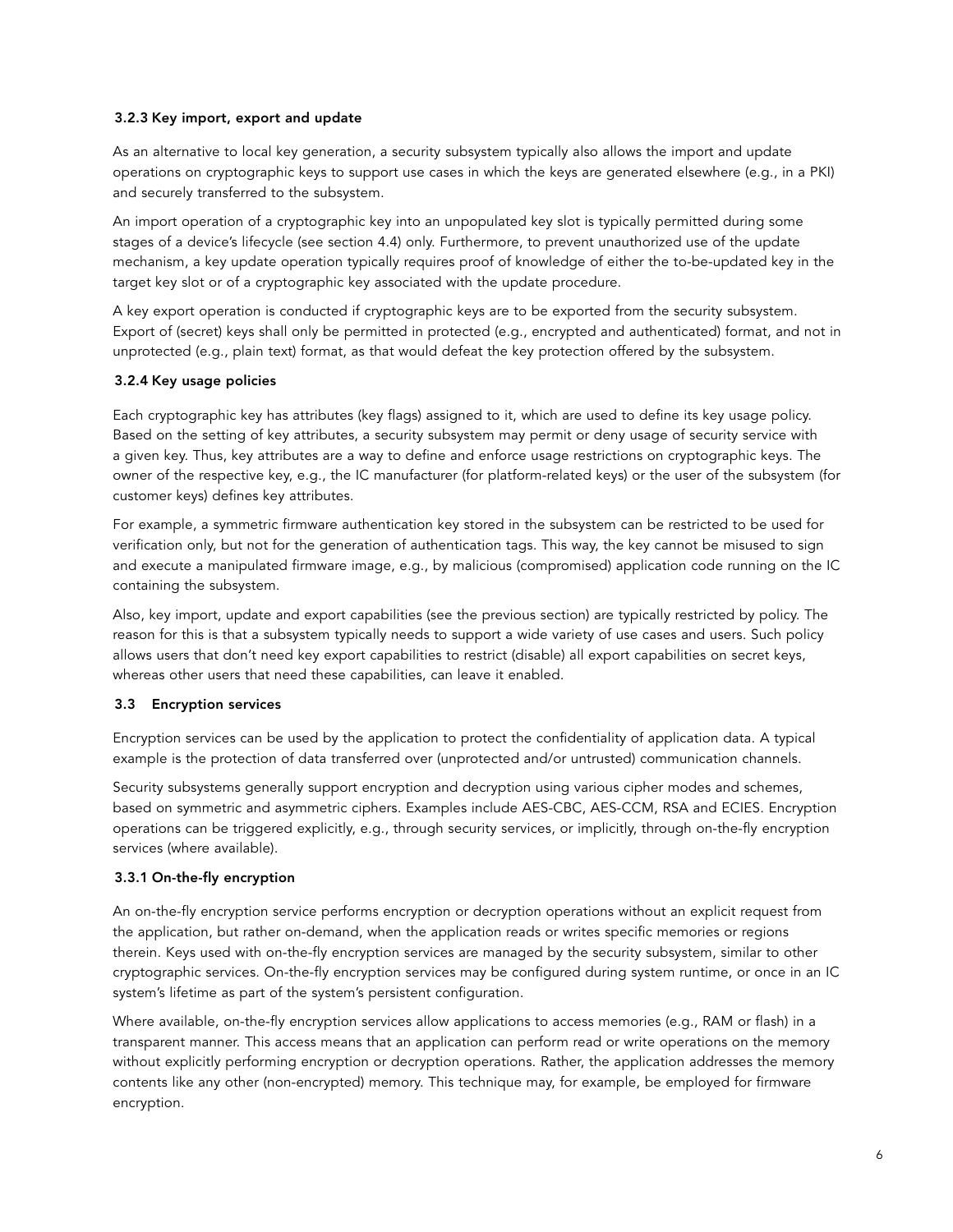## 3.2.3 Key import, export and update

As an alternative to local key generation, a security subsystem typically also allows the import and update operations on cryptographic keys to support use cases in which the keys are generated elsewhere (e.g., in a PKI) and securely transferred to the subsystem.

An import operation of a cryptographic key into an unpopulated key slot is typically permitted during some stages of a device's lifecycle (see section 4.4) only. Furthermore, to prevent unauthorized use of the update mechanism, a key update operation typically requires proof of knowledge of either the to-be-updated key in the target key slot or of a cryptographic key associated with the update procedure.

A key export operation is conducted if cryptographic keys are to be exported from the security subsystem. Export of (secret) keys shall only be permitted in protected (e.g., encrypted and authenticated) format, and not in unprotected (e.g., plain text) format, as that would defeat the key protection offered by the subsystem.

## 3.2.4 Key usage policies

Each cryptographic key has attributes (key flags) assigned to it, which are used to define its key usage policy. Based on the setting of key attributes, a security subsystem may permit or deny usage of security service with a given key. Thus, key attributes are a way to define and enforce usage restrictions on cryptographic keys. The owner of the respective key, e.g., the IC manufacturer (for platform-related keys) or the user of the subsystem (for customer keys) defines key attributes.

For example, a symmetric firmware authentication key stored in the subsystem can be restricted to be used for verification only, but not for the generation of authentication tags. This way, the key cannot be misused to sign and execute a manipulated firmware image, e.g., by malicious (compromised) application code running on the IC containing the subsystem.

Also, key import, update and export capabilities (see the previous section) are typically restricted by policy. The reason for this is that a subsystem typically needs to support a wide variety of use cases and users. Such policy allows users that don't need key export capabilities to restrict (disable) all export capabilities on secret keys, whereas other users that need these capabilities, can leave it enabled.

## 3.3 Encryption services

Encryption services can be used by the application to protect the confidentiality of application data. A typical example is the protection of data transferred over (unprotected and/or untrusted) communication channels.

Security subsystems generally support encryption and decryption using various cipher modes and schemes, based on symmetric and asymmetric ciphers. Examples include AES-CBC, AES-CCM, RSA and ECIES. Encryption operations can be triggered explicitly, e.g., through security services, or implicitly, through on-the-fly encryption services (where available).

## 3.3.1 On-the-fly encryption

An on-the-fly encryption service performs encryption or decryption operations without an explicit request from the application, but rather on-demand, when the application reads or writes specific memories or regions therein. Keys used with on-the-fly encryption services are managed by the security subsystem, similar to other cryptographic services. On-the-fly encryption services may be configured during system runtime, or once in an IC system's lifetime as part of the system's persistent configuration.

Where available, on-the-fly encryption services allow applications to access memories (e.g., RAM or flash) in a transparent manner. This access means that an application can perform read or write operations on the memory without explicitly performing encryption or decryption operations. Rather, the application addresses the memory contents like any other (non-encrypted) memory. This technique may, for example, be employed for firmware encryption.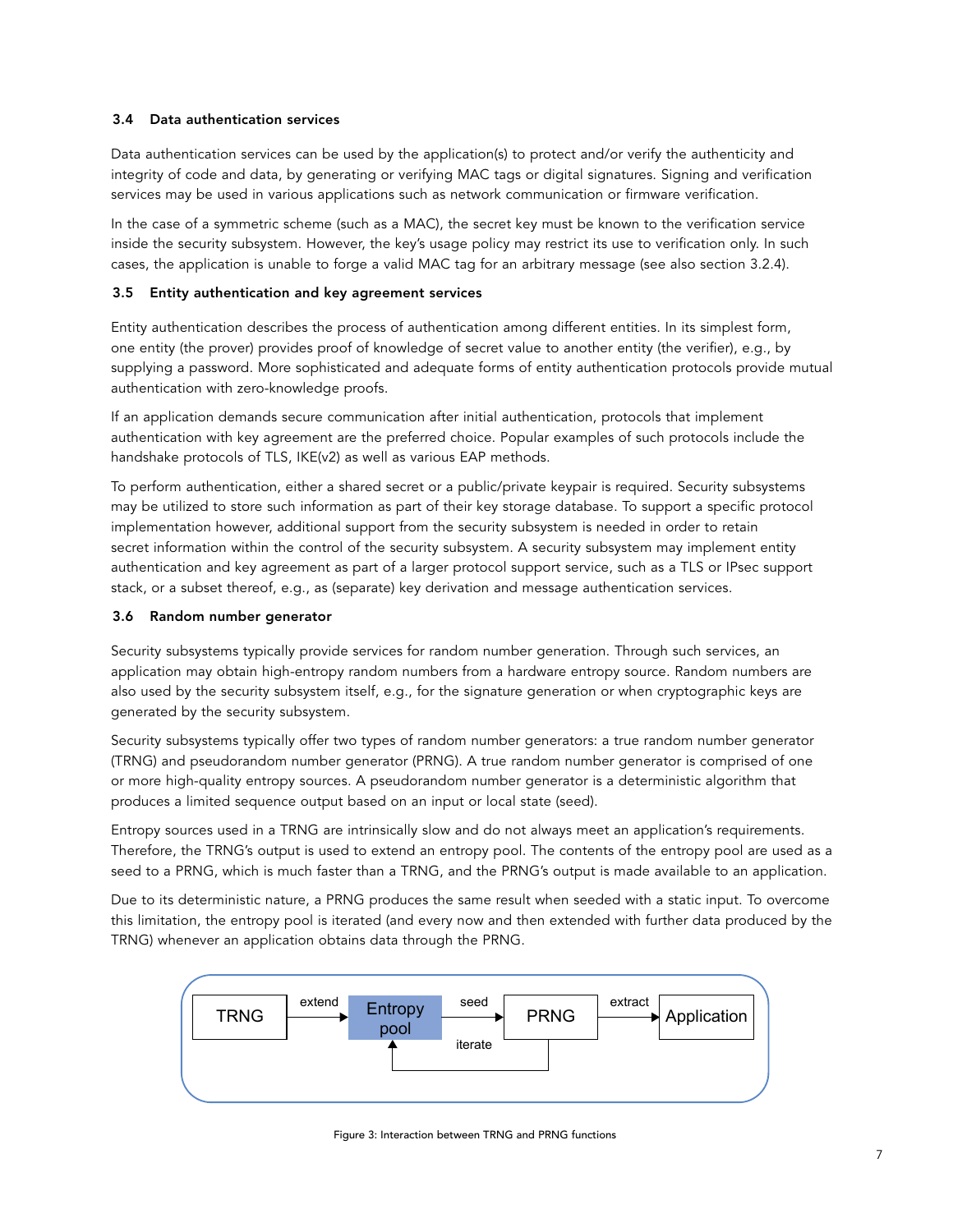## 3.4 Data authentication services

Data authentication services can be used by the application(s) to protect and/or verify the authenticity and integrity of code and data, by generating or verifying MAC tags or digital signatures. Signing and verification services may be used in various applications such as network communication or firmware verification.

In the case of a symmetric scheme (such as a MAC), the secret key must be known to the verification service inside the security subsystem. However, the key's usage policy may restrict its use to verification only. In such cases, the application is unable to forge a valid MAC tag for an arbitrary message (see also section 3.2.4).

## 3.5 Entity authentication and key agreement services

Entity authentication describes the process of authentication among different entities. In its simplest form, one entity (the prover) provides proof of knowledge of secret value to another entity (the verifier), e.g., by supplying a password. More sophisticated and adequate forms of entity authentication protocols provide mutual authentication with zero-knowledge proofs.

If an application demands secure communication after initial authentication, protocols that implement authentication with key agreement are the preferred choice. Popular examples of such protocols include the handshake protocols of TLS, IKE(v2) as well as various EAP methods.

To perform authentication, either a shared secret or a public/private keypair is required. Security subsystems may be utilized to store such information as part of their key storage database. To support a specific protocol implementation however, additional support from the security subsystem is needed in order to retain secret information within the control of the security subsystem. A security subsystem may implement entity authentication and key agreement as part of a larger protocol support service, such as a TLS or IPsec support stack, or a subset thereof, e.g., as (separate) key derivation and message authentication services.

#### 3.6 Random number generator

Security subsystems typically provide services for random number generation. Through such services, an application may obtain high-entropy random numbers from a hardware entropy source. Random numbers are also used by the security subsystem itself, e.g., for the signature generation or when cryptographic keys are generated by the security subsystem.

Security subsystems typically offer two types of random number generators: a true random number generator (TRNG) and pseudorandom number generator (PRNG). A true random number generator is comprised of one or more high-quality entropy sources. A pseudorandom number generator is a deterministic algorithm that produces a limited sequence output based on an input or local state (seed).

Entropy sources used in a TRNG are intrinsically slow and do not always meet an application's requirements. Therefore, the TRNG's output is used to extend an entropy pool. The contents of the entropy pool are used as a seed to a PRNG, which is much faster than a TRNG, and the PRNG's output is made available to an application.

Due to its deterministic nature, a PRNG produces the same result when seeded with a static input. To overcome this limitation, the entropy pool is iterated (and every now and then extended with further data produced by the TRNG) whenever an application obtains data through the PRNG.



Figure 3: Interaction between TRNG and PRNG functions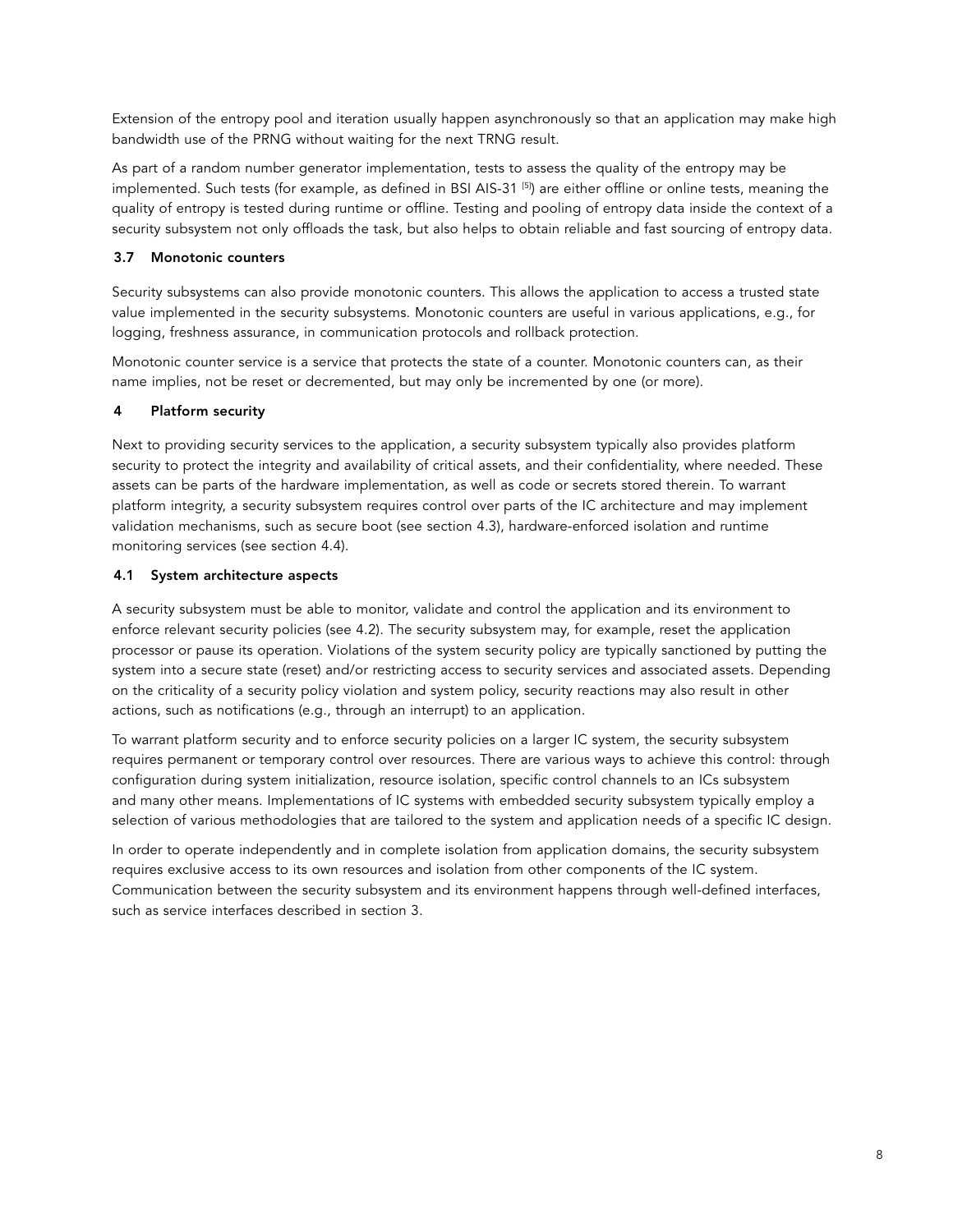Extension of the entropy pool and iteration usually happen asynchronously so that an application may make high bandwidth use of the PRNG without waiting for the next TRNG result.

As part of a random number generator implementation, tests to assess the quality of the entropy may be implemented. Such tests (for example, as defined in BSI AIS-31 [5]) are either offline or online tests, meaning the quality of entropy is tested during runtime or offline. Testing and pooling of entropy data inside the context of a security subsystem not only offloads the task, but also helps to obtain reliable and fast sourcing of entropy data.

## 3.7 Monotonic counters

Security subsystems can also provide monotonic counters. This allows the application to access a trusted state value implemented in the security subsystems. Monotonic counters are useful in various applications, e.g., for logging, freshness assurance, in communication protocols and rollback protection.

Monotonic counter service is a service that protects the state of a counter. Monotonic counters can, as their name implies, not be reset or decremented, but may only be incremented by one (or more).

## 4 Platform security

Next to providing security services to the application, a security subsystem typically also provides platform security to protect the integrity and availability of critical assets, and their confidentiality, where needed. These assets can be parts of the hardware implementation, as well as code or secrets stored therein. To warrant platform integrity, a security subsystem requires control over parts of the IC architecture and may implement validation mechanisms, such as secure boot (see section 4.3), hardware-enforced isolation and runtime monitoring services (see section 4.4).

## 4.1 System architecture aspects

A security subsystem must be able to monitor, validate and control the application and its environment to enforce relevant security policies (see 4.2). The security subsystem may, for example, reset the application processor or pause its operation. Violations of the system security policy are typically sanctioned by putting the system into a secure state (reset) and/or restricting access to security services and associated assets. Depending on the criticality of a security policy violation and system policy, security reactions may also result in other actions, such as notifications (e.g., through an interrupt) to an application.

To warrant platform security and to enforce security policies on a larger IC system, the security subsystem requires permanent or temporary control over resources. There are various ways to achieve this control: through configuration during system initialization, resource isolation, specific control channels to an ICs subsystem and many other means. Implementations of IC systems with embedded security subsystem typically employ a selection of various methodologies that are tailored to the system and application needs of a specific IC design.

In order to operate independently and in complete isolation from application domains, the security subsystem requires exclusive access to its own resources and isolation from other components of the IC system. Communication between the security subsystem and its environment happens through well-defined interfaces, such as service interfaces described in section 3.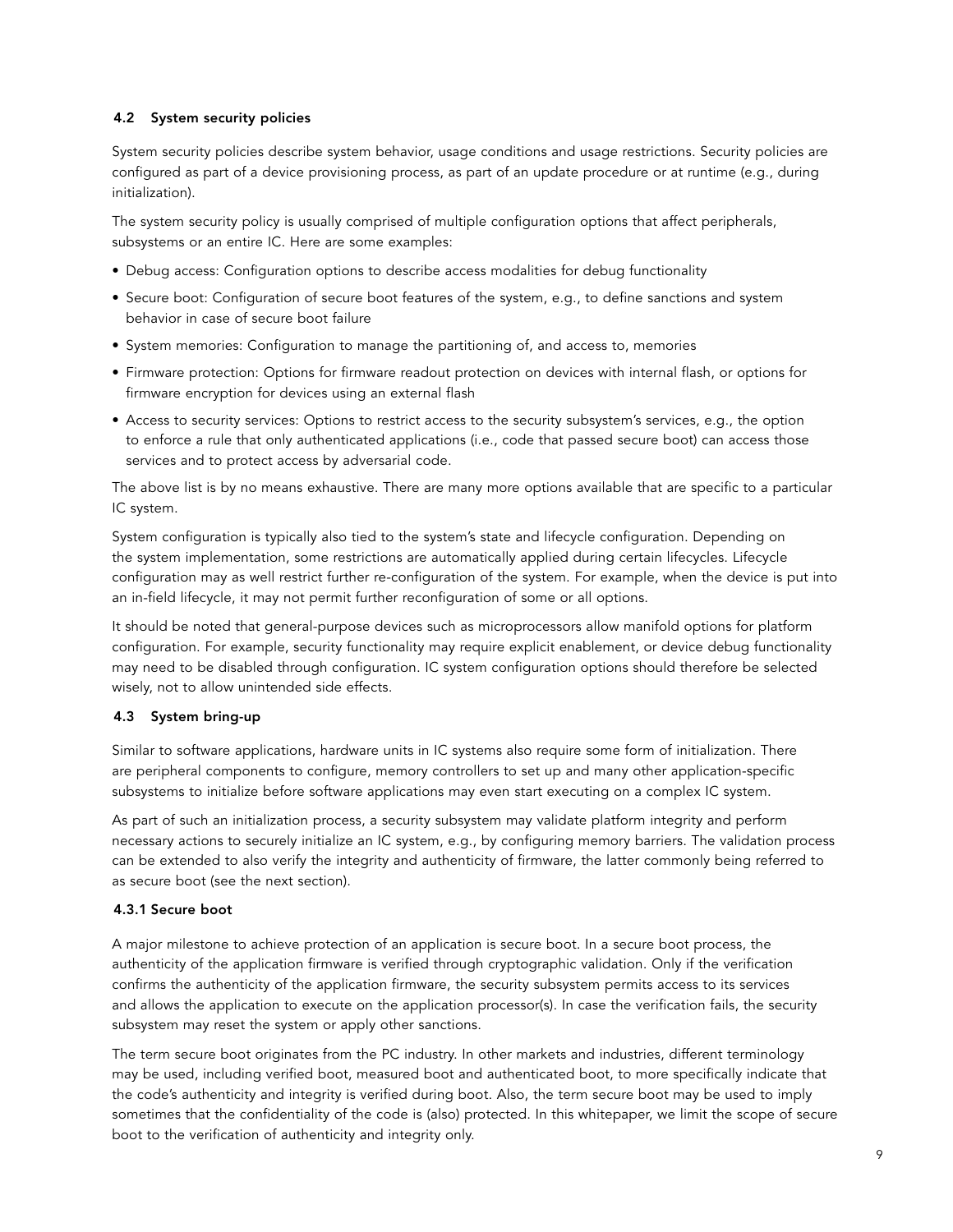## 4.2 System security policies

System security policies describe system behavior, usage conditions and usage restrictions. Security policies are configured as part of a device provisioning process, as part of an update procedure or at runtime (e.g., during initialization).

The system security policy is usually comprised of multiple configuration options that affect peripherals, subsystems or an entire IC. Here are some examples:

- Debug access: Configuration options to describe access modalities for debug functionality
- Secure boot: Configuration of secure boot features of the system, e.g., to define sanctions and system behavior in case of secure boot failure
- System memories: Configuration to manage the partitioning of, and access to, memories
- Firmware protection: Options for firmware readout protection on devices with internal flash, or options for firmware encryption for devices using an external flash
- Access to security services: Options to restrict access to the security subsystem's services, e.g., the option to enforce a rule that only authenticated applications (i.e., code that passed secure boot) can access those services and to protect access by adversarial code.

The above list is by no means exhaustive. There are many more options available that are specific to a particular IC system.

System configuration is typically also tied to the system's state and lifecycle configuration. Depending on the system implementation, some restrictions are automatically applied during certain lifecycles. Lifecycle configuration may as well restrict further re-configuration of the system. For example, when the device is put into an in-field lifecycle, it may not permit further reconfiguration of some or all options.

It should be noted that general-purpose devices such as microprocessors allow manifold options for platform configuration. For example, security functionality may require explicit enablement, or device debug functionality may need to be disabled through configuration. IC system configuration options should therefore be selected wisely, not to allow unintended side effects.

## 4.3 System bring-up

Similar to software applications, hardware units in IC systems also require some form of initialization. There are peripheral components to configure, memory controllers to set up and many other application-specific subsystems to initialize before software applications may even start executing on a complex IC system.

As part of such an initialization process, a security subsystem may validate platform integrity and perform necessary actions to securely initialize an IC system, e.g., by configuring memory barriers. The validation process can be extended to also verify the integrity and authenticity of firmware, the latter commonly being referred to as secure boot (see the next section).

#### 4.3.1 Secure boot

A major milestone to achieve protection of an application is secure boot. In a secure boot process, the authenticity of the application firmware is verified through cryptographic validation. Only if the verification confirms the authenticity of the application firmware, the security subsystem permits access to its services and allows the application to execute on the application processor(s). In case the verification fails, the security subsystem may reset the system or apply other sanctions.

The term secure boot originates from the PC industry. In other markets and industries, different terminology may be used, including verified boot, measured boot and authenticated boot, to more specifically indicate that the code's authenticity and integrity is verified during boot. Also, the term secure boot may be used to imply sometimes that the confidentiality of the code is (also) protected. In this whitepaper, we limit the scope of secure boot to the verification of authenticity and integrity only.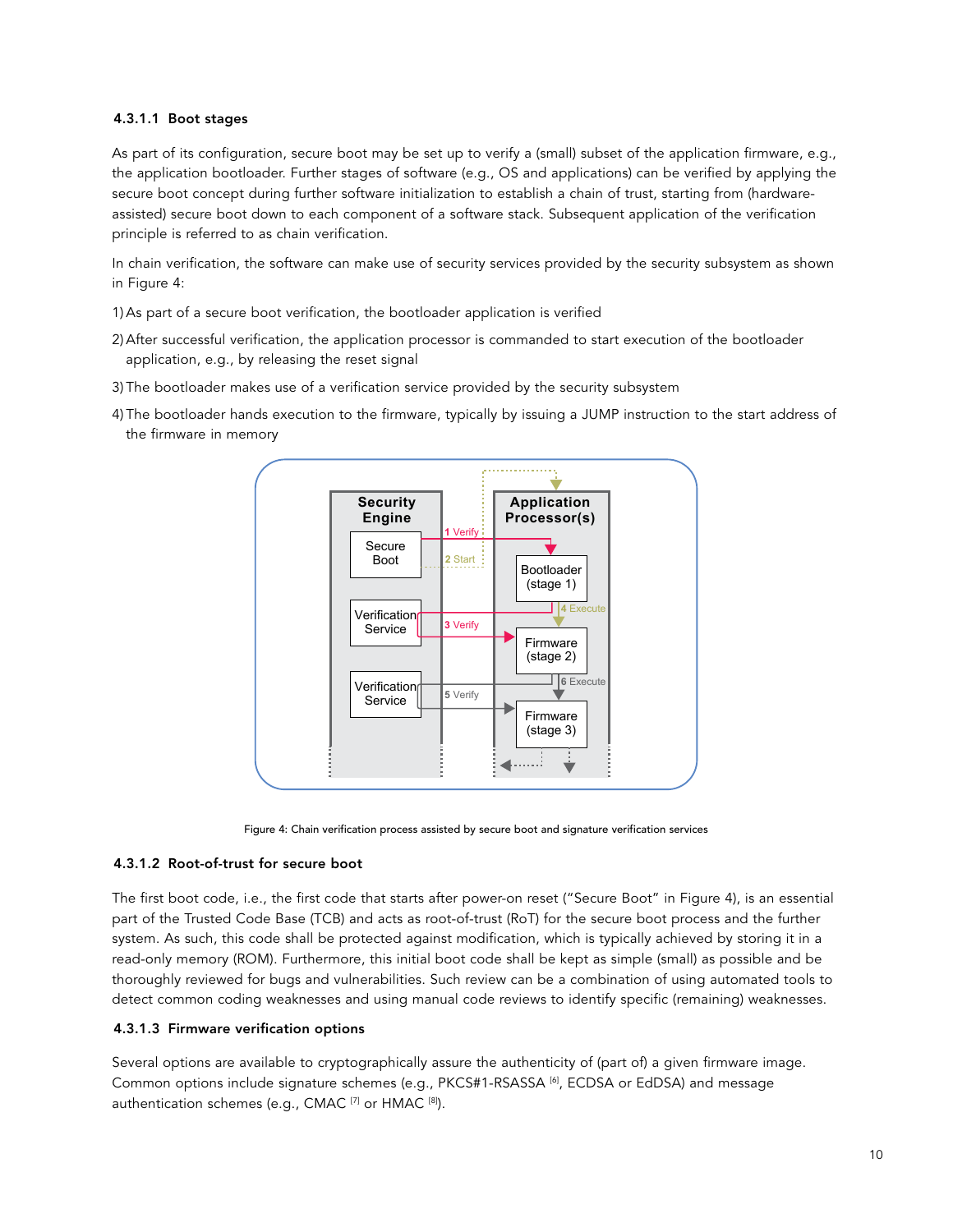## 4.3.1.1 Boot stages

As part of its configuration, secure boot may be set up to verify a (small) subset of the application firmware, e.g., the application bootloader. Further stages of software (e.g., OS and applications) can be verified by applying the secure boot concept during further software initialization to establish a chain of trust, starting from (hardwareassisted) secure boot down to each component of a software stack. Subsequent application of the verification principle is referred to as chain verification.

In chain verification, the software can make use of security services provided by the security subsystem as shown in Figure 4:

- 1) As part of a secure boot verification, the bootloader application is verified
- 2) After successful verification, the application processor is commanded to start execution of the bootloader application, e.g., by releasing the reset signal
- 3) The bootloader makes use of a verification service provided by the security subsystem
- 4) The bootloader hands execution to the firmware, typically by issuing a JUMP instruction to the start address of the firmware in memory



Figure 4: Chain verification process assisted by secure boot and signature verification services

#### 4.3.1.2 Root-of-trust for secure boot

The first boot code, i.e., the first code that starts after power-on reset ("Secure Boot" in Figure 4), is an essential part of the Trusted Code Base (TCB) and acts as root-of-trust (RoT) for the secure boot process and the further system. As such, this code shall be protected against modification, which is typically achieved by storing it in a read-only memory (ROM). Furthermore, this initial boot code shall be kept as simple (small) as possible and be thoroughly reviewed for bugs and vulnerabilities. Such review can be a combination of using automated tools to detect common coding weaknesses and using manual code reviews to identify specific (remaining) weaknesses.

#### 4.3.1.3 Firmware verification options

Several options are available to cryptographically assure the authenticity of (part of) a given firmware image. Common options include signature schemes (e.g., PKCS#1-RSASSA [6], ECDSA or EdDSA) and message authentication schemes (e.g., CMAC<sup>[7]</sup> or HMAC<sup>[8]</sup>).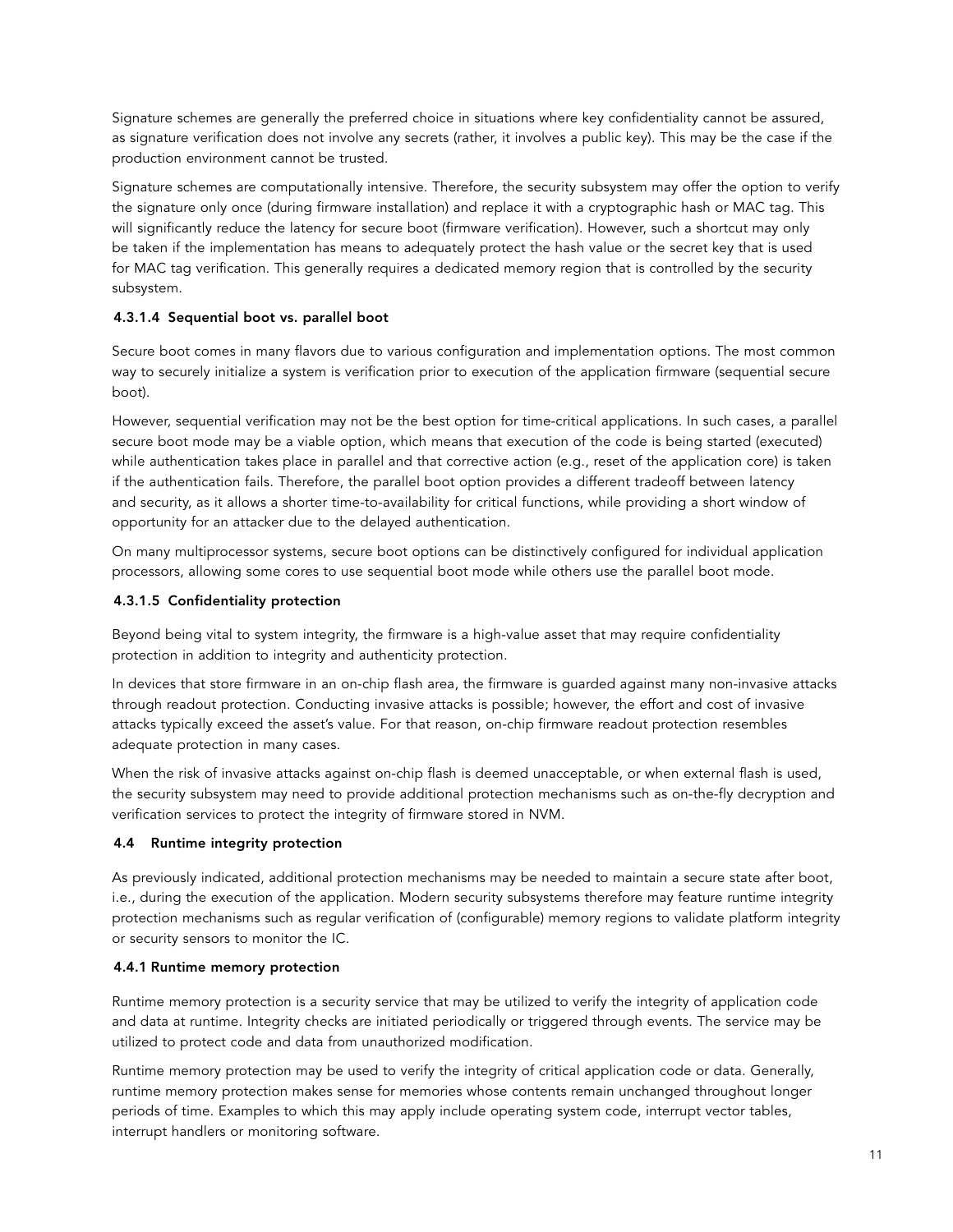Signature schemes are generally the preferred choice in situations where key confidentiality cannot be assured, as signature verification does not involve any secrets (rather, it involves a public key). This may be the case if the production environment cannot be trusted.

Signature schemes are computationally intensive. Therefore, the security subsystem may offer the option to verify the signature only once (during firmware installation) and replace it with a cryptographic hash or MAC tag. This will significantly reduce the latency for secure boot (firmware verification). However, such a shortcut may only be taken if the implementation has means to adequately protect the hash value or the secret key that is used for MAC tag verification. This generally requires a dedicated memory region that is controlled by the security subsystem.

## 4.3.1.4 Sequential boot vs. parallel boot

Secure boot comes in many flavors due to various configuration and implementation options. The most common way to securely initialize a system is verification prior to execution of the application firmware (sequential secure boot).

However, sequential verification may not be the best option for time-critical applications. In such cases, a parallel secure boot mode may be a viable option, which means that execution of the code is being started (executed) while authentication takes place in parallel and that corrective action (e.g., reset of the application core) is taken if the authentication fails. Therefore, the parallel boot option provides a different tradeoff between latency and security, as it allows a shorter time-to-availability for critical functions, while providing a short window of opportunity for an attacker due to the delayed authentication.

On many multiprocessor systems, secure boot options can be distinctively configured for individual application processors, allowing some cores to use sequential boot mode while others use the parallel boot mode.

## 4.3.1.5 Confidentiality protection

Beyond being vital to system integrity, the firmware is a high-value asset that may require confidentiality protection in addition to integrity and authenticity protection.

In devices that store firmware in an on-chip flash area, the firmware is guarded against many non-invasive attacks through readout protection. Conducting invasive attacks is possible; however, the effort and cost of invasive attacks typically exceed the asset's value. For that reason, on-chip firmware readout protection resembles adequate protection in many cases.

When the risk of invasive attacks against on-chip flash is deemed unacceptable, or when external flash is used, the security subsystem may need to provide additional protection mechanisms such as on-the-fly decryption and verification services to protect the integrity of firmware stored in NVM.

## 4.4 Runtime integrity protection

As previously indicated, additional protection mechanisms may be needed to maintain a secure state after boot, i.e., during the execution of the application. Modern security subsystems therefore may feature runtime integrity protection mechanisms such as regular verification of (configurable) memory regions to validate platform integrity or security sensors to monitor the IC.

## 4.4.1 Runtime memory protection

Runtime memory protection is a security service that may be utilized to verify the integrity of application code and data at runtime. Integrity checks are initiated periodically or triggered through events. The service may be utilized to protect code and data from unauthorized modification.

Runtime memory protection may be used to verify the integrity of critical application code or data. Generally, runtime memory protection makes sense for memories whose contents remain unchanged throughout longer periods of time. Examples to which this may apply include operating system code, interrupt vector tables, interrupt handlers or monitoring software.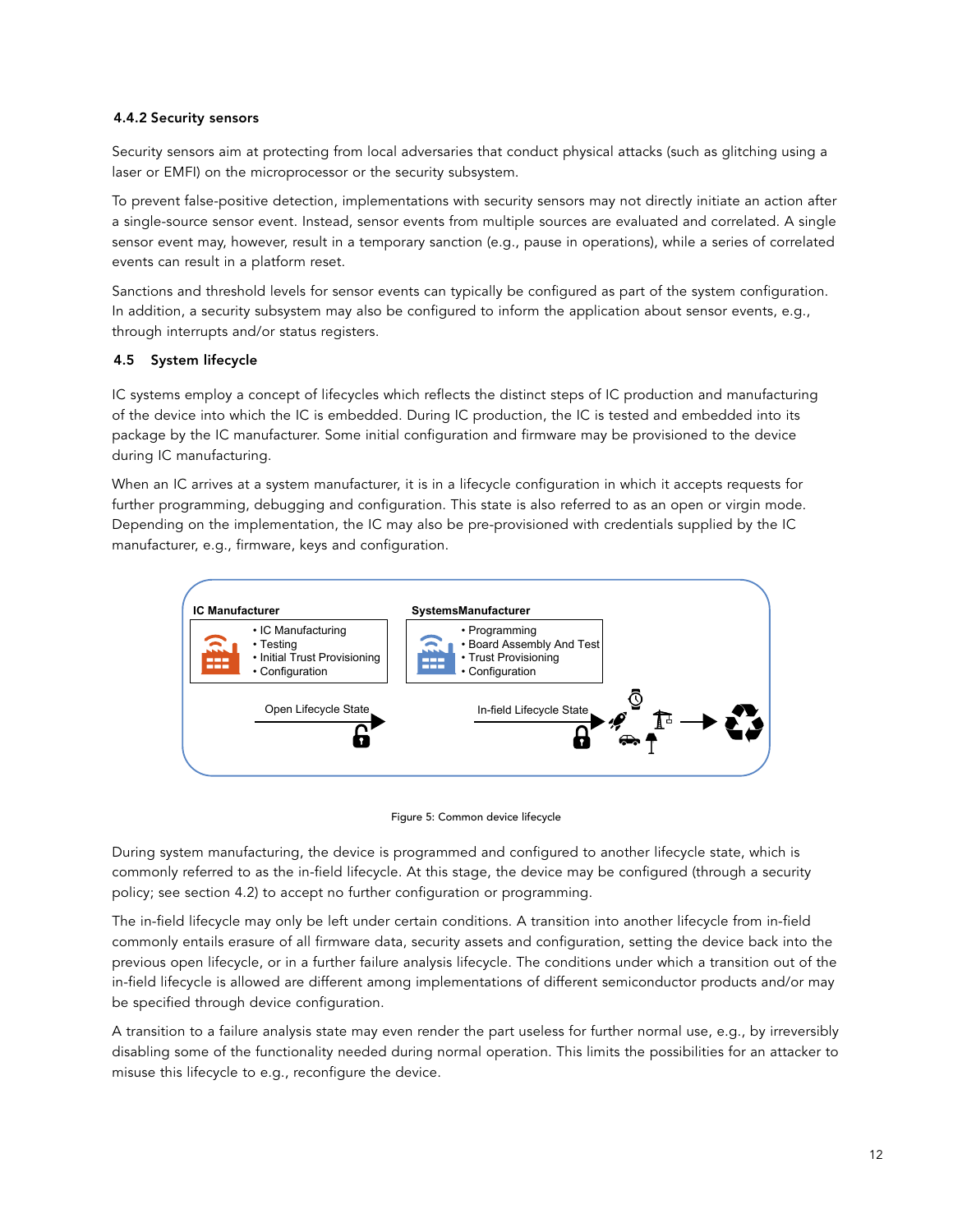## 4.4.2 Security sensors

Security sensors aim at protecting from local adversaries that conduct physical attacks (such as glitching using a laser or EMFI) on the microprocessor or the security subsystem.

To prevent false-positive detection, implementations with security sensors may not directly initiate an action after a single-source sensor event. Instead, sensor events from multiple sources are evaluated and correlated. A single sensor event may, however, result in a temporary sanction (e.g., pause in operations), while a series of correlated events can result in a platform reset.

Sanctions and threshold levels for sensor events can typically be configured as part of the system configuration. In addition, a security subsystem may also be configured to inform the application about sensor events, e.g., through interrupts and/or status registers.

## 4.5 System lifecycle

IC systems employ a concept of lifecycles which reflects the distinct steps of IC production and manufacturing of the device into which the IC is embedded. During IC production, the IC is tested and embedded into its package by the IC manufacturer. Some initial configuration and firmware may be provisioned to the device during IC manufacturing.

When an IC arrives at a system manufacturer, it is in a lifecycle configuration in which it accepts requests for further programming, debugging and configuration. This state is also referred to as an open or virgin mode. Depending on the implementation, the IC may also be pre-provisioned with credentials supplied by the IC manufacturer, e.g., firmware, keys and configuration.



Figure 5: Common device lifecycle

During system manufacturing, the device is programmed and configured to another lifecycle state, which is commonly referred to as the in-field lifecycle. At this stage, the device may be configured (through a security policy; see section 4.2) to accept no further configuration or programming.

The in-field lifecycle may only be left under certain conditions. A transition into another lifecycle from in-field commonly entails erasure of all firmware data, security assets and configuration, setting the device back into the previous open lifecycle, or in a further failure analysis lifecycle. The conditions under which a transition out of the in-field lifecycle is allowed are different among implementations of different semiconductor products and/or may be specified through device configuration.

A transition to a failure analysis state may even render the part useless for further normal use, e.g., by irreversibly disabling some of the functionality needed during normal operation. This limits the possibilities for an attacker to misuse this lifecycle to e.g., reconfigure the device.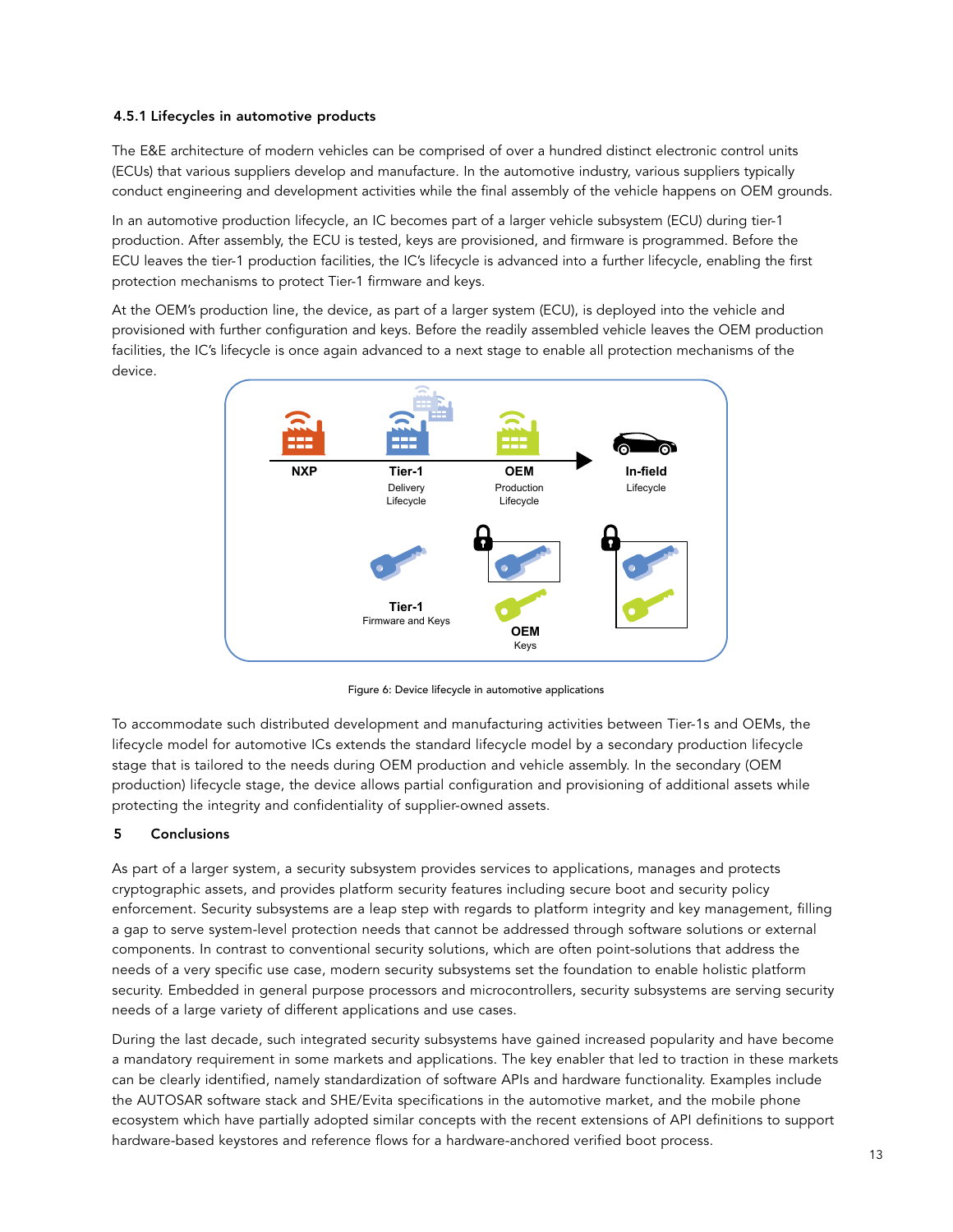## 4.5.1 Lifecycles in automotive products

The E&E architecture of modern vehicles can be comprised of over a hundred distinct electronic control units (ECUs) that various suppliers develop and manufacture. In the automotive industry, various suppliers typically conduct engineering and development activities while the final assembly of the vehicle happens on OEM grounds.

In an automotive production lifecycle, an IC becomes part of a larger vehicle subsystem (ECU) during tier-1 production. After assembly, the ECU is tested, keys are provisioned, and firmware is programmed. Before the ECU leaves the tier-1 production facilities, the IC's lifecycle is advanced into a further lifecycle, enabling the first protection mechanisms to protect Tier-1 firmware and keys.

At the OEM's production line, the device, as part of a larger system (ECU), is deployed into the vehicle and provisioned with further configuration and keys. Before the readily assembled vehicle leaves the OEM production facilities, the IC's lifecycle is once again advanced to a next stage to enable all protection mechanisms of the device.



Figure 6: Device lifecycle in automotive applications

To accommodate such distributed development and manufacturing activities between Tier-1s and OEMs, the lifecycle model for automotive ICs extends the standard lifecycle model by a secondary production lifecycle stage that is tailored to the needs during OEM production and vehicle assembly. In the secondary (OEM production) lifecycle stage, the device allows partial configuration and provisioning of additional assets while protecting the integrity and confidentiality of supplier-owned assets.

## 5 Conclusions

As part of a larger system, a security subsystem provides services to applications, manages and protects cryptographic assets, and provides platform security features including secure boot and security policy enforcement. Security subsystems are a leap step with regards to platform integrity and key management, filling a gap to serve system-level protection needs that cannot be addressed through software solutions or external components. In contrast to conventional security solutions, which are often point-solutions that address the needs of a very specific use case, modern security subsystems set the foundation to enable holistic platform security. Embedded in general purpose processors and microcontrollers, security subsystems are serving security needs of a large variety of different applications and use cases.

During the last decade, such integrated security subsystems have gained increased popularity and have become a mandatory requirement in some markets and applications. The key enabler that led to traction in these markets can be clearly identified, namely standardization of software APIs and hardware functionality. Examples include the AUTOSAR software stack and SHE/Evita specifications in the automotive market, and the mobile phone ecosystem which have partially adopted similar concepts with the recent extensions of API definitions to support hardware-based keystores and reference flows for a hardware-anchored verified boot process.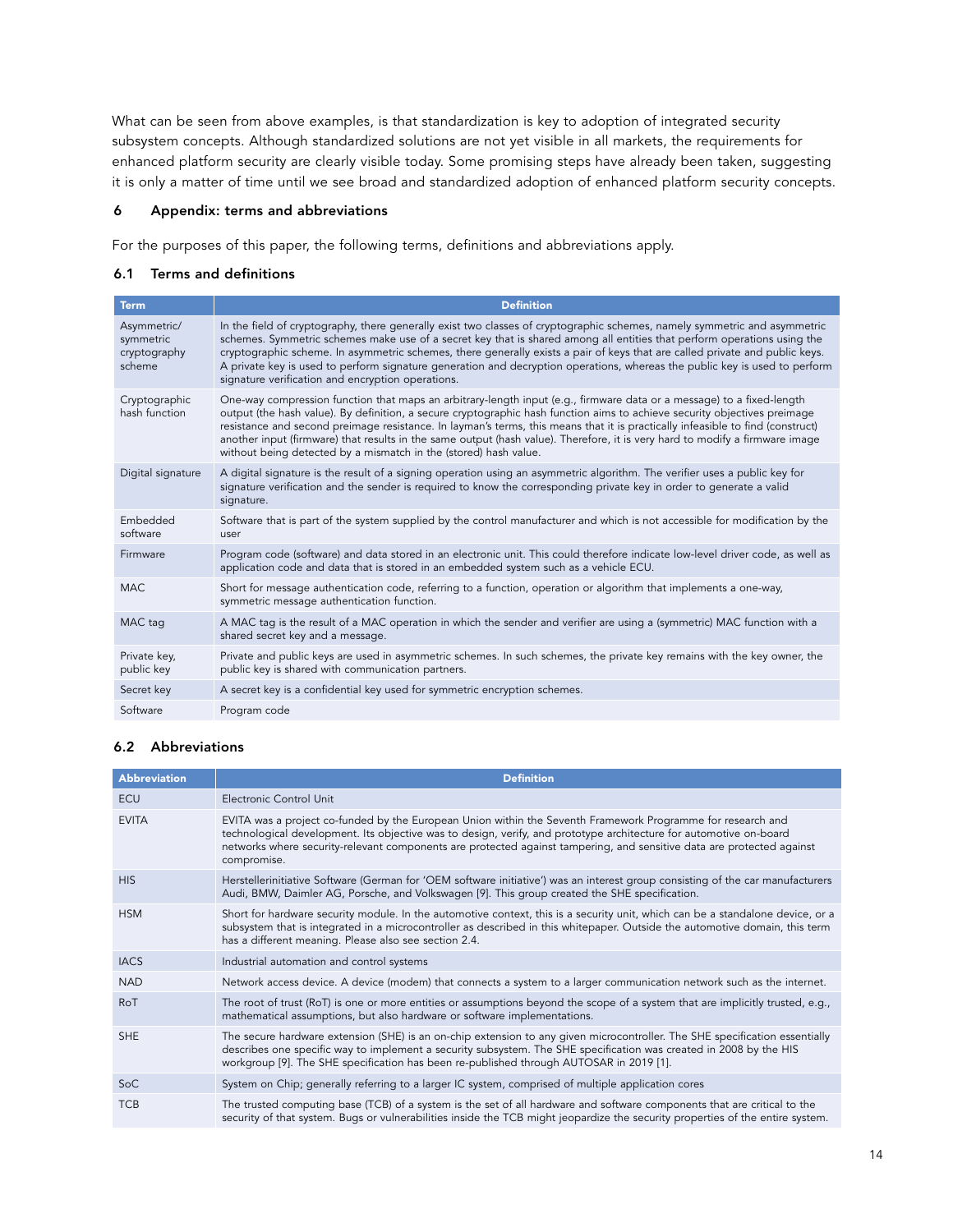What can be seen from above examples, is that standardization is key to adoption of integrated security subsystem concepts. Although standardized solutions are not yet visible in all markets, the requirements for enhanced platform security are clearly visible today. Some promising steps have already been taken, suggesting it is only a matter of time until we see broad and standardized adoption of enhanced platform security concepts.

## 6 Appendix: terms and abbreviations

For the purposes of this paper, the following terms, definitions and abbreviations apply.

## 6.1 Terms and definitions

| <b>Term</b>                                        | <b>Definition</b>                                                                                                                                                                                                                                                                                                                                                                                                                                                                                                                                                                        |
|----------------------------------------------------|------------------------------------------------------------------------------------------------------------------------------------------------------------------------------------------------------------------------------------------------------------------------------------------------------------------------------------------------------------------------------------------------------------------------------------------------------------------------------------------------------------------------------------------------------------------------------------------|
| Asymmetric/<br>symmetric<br>cryptography<br>scheme | In the field of cryptography, there generally exist two classes of cryptographic schemes, namely symmetric and asymmetric<br>schemes. Symmetric schemes make use of a secret key that is shared among all entities that perform operations using the<br>cryptographic scheme. In asymmetric schemes, there generally exists a pair of keys that are called private and public keys.<br>A private key is used to perform signature generation and decryption operations, whereas the public key is used to perform<br>signature verification and encryption operations.                   |
| Cryptographic<br>hash function                     | One-way compression function that maps an arbitrary-length input (e.g., firmware data or a message) to a fixed-length<br>output (the hash value). By definition, a secure cryptographic hash function aims to achieve security objectives preimage<br>resistance and second preimage resistance. In layman's terms, this means that it is practically infeasible to find (construct)<br>another input (firmware) that results in the same output (hash value). Therefore, it is very hard to modify a firmware image<br>without being detected by a mismatch in the (stored) hash value. |
| Digital signature                                  | A digital signature is the result of a signing operation using an asymmetric algorithm. The verifier uses a public key for<br>signature verification and the sender is required to know the corresponding private key in order to generate a valid<br>signature.                                                                                                                                                                                                                                                                                                                         |
| Embedded<br>software                               | Software that is part of the system supplied by the control manufacturer and which is not accessible for modification by the<br>user                                                                                                                                                                                                                                                                                                                                                                                                                                                     |
| Firmware                                           | Program code (software) and data stored in an electronic unit. This could therefore indicate low-level driver code, as well as<br>application code and data that is stored in an embedded system such as a vehicle ECU.                                                                                                                                                                                                                                                                                                                                                                  |
| MAC.                                               | Short for message authentication code, referring to a function, operation or algorithm that implements a one-way,<br>symmetric message authentication function.                                                                                                                                                                                                                                                                                                                                                                                                                          |
| MAC tag                                            | A MAC tag is the result of a MAC operation in which the sender and verifier are using a (symmetric) MAC function with a<br>shared secret key and a message.                                                                                                                                                                                                                                                                                                                                                                                                                              |
| Private key,<br>public key                         | Private and public keys are used in asymmetric schemes. In such schemes, the private key remains with the key owner, the<br>public key is shared with communication partners.                                                                                                                                                                                                                                                                                                                                                                                                            |
| Secret key                                         | A secret key is a confidential key used for symmetric encryption schemes.                                                                                                                                                                                                                                                                                                                                                                                                                                                                                                                |
| Software                                           | Program code                                                                                                                                                                                                                                                                                                                                                                                                                                                                                                                                                                             |

## 6.2 Abbreviations

| <b>Abbreviation</b> | <b>Definition</b>                                                                                                                                                                                                                                                                                                                                                         |
|---------------------|---------------------------------------------------------------------------------------------------------------------------------------------------------------------------------------------------------------------------------------------------------------------------------------------------------------------------------------------------------------------------|
| <b>ECU</b>          | Electronic Control Unit                                                                                                                                                                                                                                                                                                                                                   |
| <b>EVITA</b>        | EVITA was a project co-funded by the European Union within the Seventh Framework Programme for research and<br>technological development. Its objective was to design, verify, and prototype architecture for automotive on-board<br>networks where security-relevant components are protected against tampering, and sensitive data are protected against<br>compromise. |
| <b>HIS</b>          | Herstellerinitiative Software (German for 'OEM software initiative') was an interest group consisting of the car manufacturers<br>Audi, BMW, Daimler AG, Porsche, and Volkswagen [9]. This group created the SHE specification.                                                                                                                                           |
| <b>HSM</b>          | Short for hardware security module. In the automotive context, this is a security unit, which can be a standalone device, or a<br>subsystem that is integrated in a microcontroller as described in this whitepaper. Outside the automotive domain, this term<br>has a different meaning. Please also see section 2.4.                                                    |
| <b>IACS</b>         | Industrial automation and control systems                                                                                                                                                                                                                                                                                                                                 |
| <b>NAD</b>          | Network access device. A device (modem) that connects a system to a larger communication network such as the internet.                                                                                                                                                                                                                                                    |
| RoT                 | The root of trust (RoT) is one or more entities or assumptions beyond the scope of a system that are implicitly trusted, e.g.,<br>mathematical assumptions, but also hardware or software implementations.                                                                                                                                                                |
| <b>SHE</b>          | The secure hardware extension (SHE) is an on-chip extension to any given microcontroller. The SHE specification essentially<br>describes one specific way to implement a security subsystem. The SHE specification was created in 2008 by the HIS<br>workgroup [9]. The SHE specification has been re-published through AUTOSAR in 2019 [1].                              |
| SoC                 | System on Chip; generally referring to a larger IC system, comprised of multiple application cores                                                                                                                                                                                                                                                                        |
| <b>TCB</b>          | The trusted computing base (TCB) of a system is the set of all hardware and software components that are critical to the<br>security of that system. Bugs or vulnerabilities inside the TCB might jeopardize the security properties of the entire system.                                                                                                                |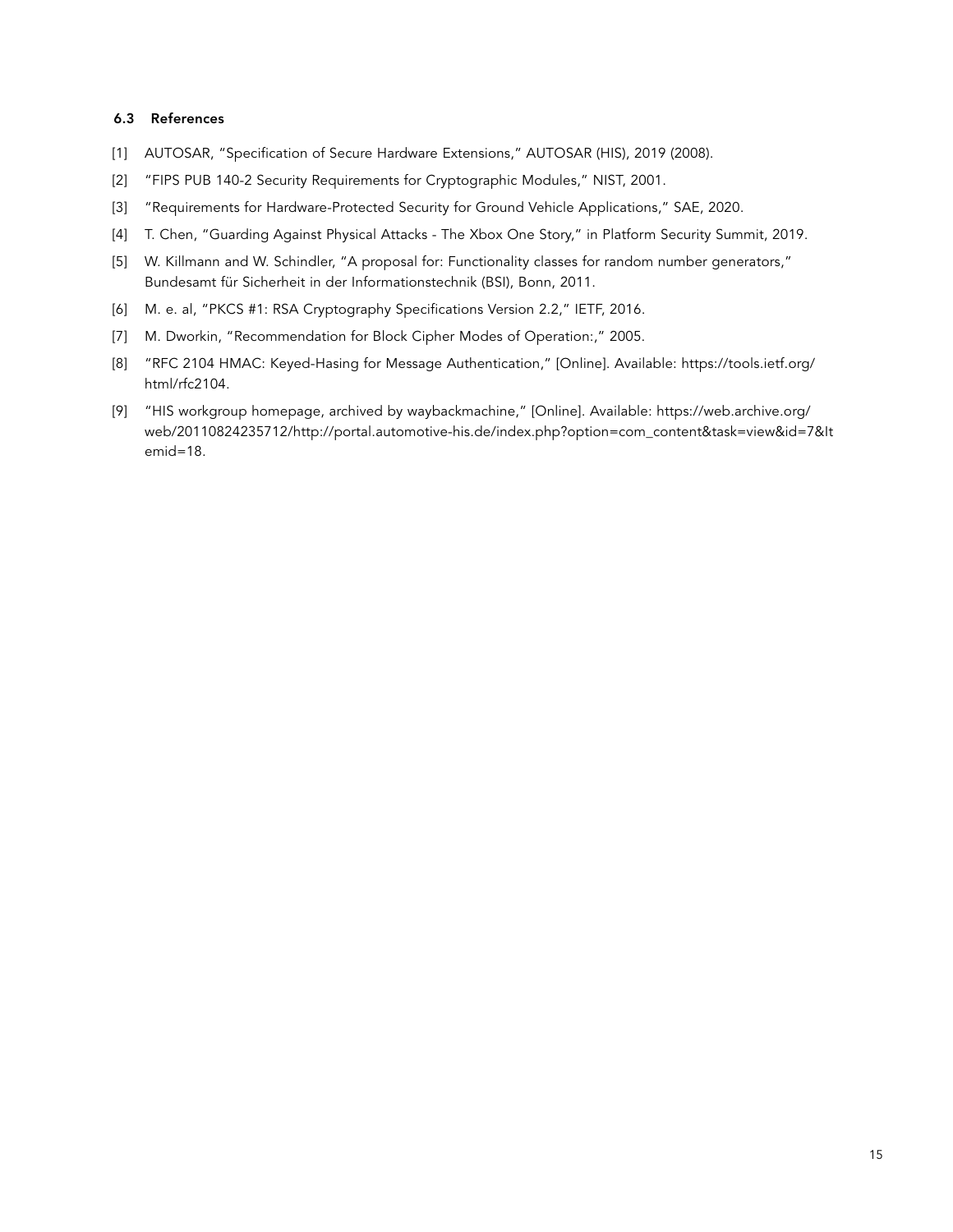#### 6.3 References

- [1] AUTOSAR, "Specification of Secure Hardware Extensions," AUTOSAR (HIS), 2019 (2008).
- [2] "FIPS PUB 140-2 Security Requirements for Cryptographic Modules," NIST, 2001.
- [3] "Requirements for Hardware-Protected Security for Ground Vehicle Applications," SAE, 2020.
- [4] T. Chen, "Guarding Against Physical Attacks The Xbox One Story," in Platform Security Summit, 2019.
- [5] W. Killmann and W. Schindler, "A proposal for: Functionality classes for random number generators," Bundesamt für Sicherheit in der Informationstechnik (BSI), Bonn, 2011.
- [6] M. e. al, "PKCS #1: RSA Cryptography Specifications Version 2.2," IETF, 2016.
- [7] M. Dworkin, "Recommendation for Block Cipher Modes of Operation:," 2005.
- [8] "RFC 2104 HMAC: Keyed-Hasing for Message Authentication," [Online]. Available: https://tools.ietf.org/ html/rfc2104.
- [9] "HIS workgroup homepage, archived by waybackmachine," [Online]. Available: https://web.archive.org/ web/20110824235712/http://portal.automotive-his.de/index.php?option=com\_content&task=view&id=7&It emid=18.